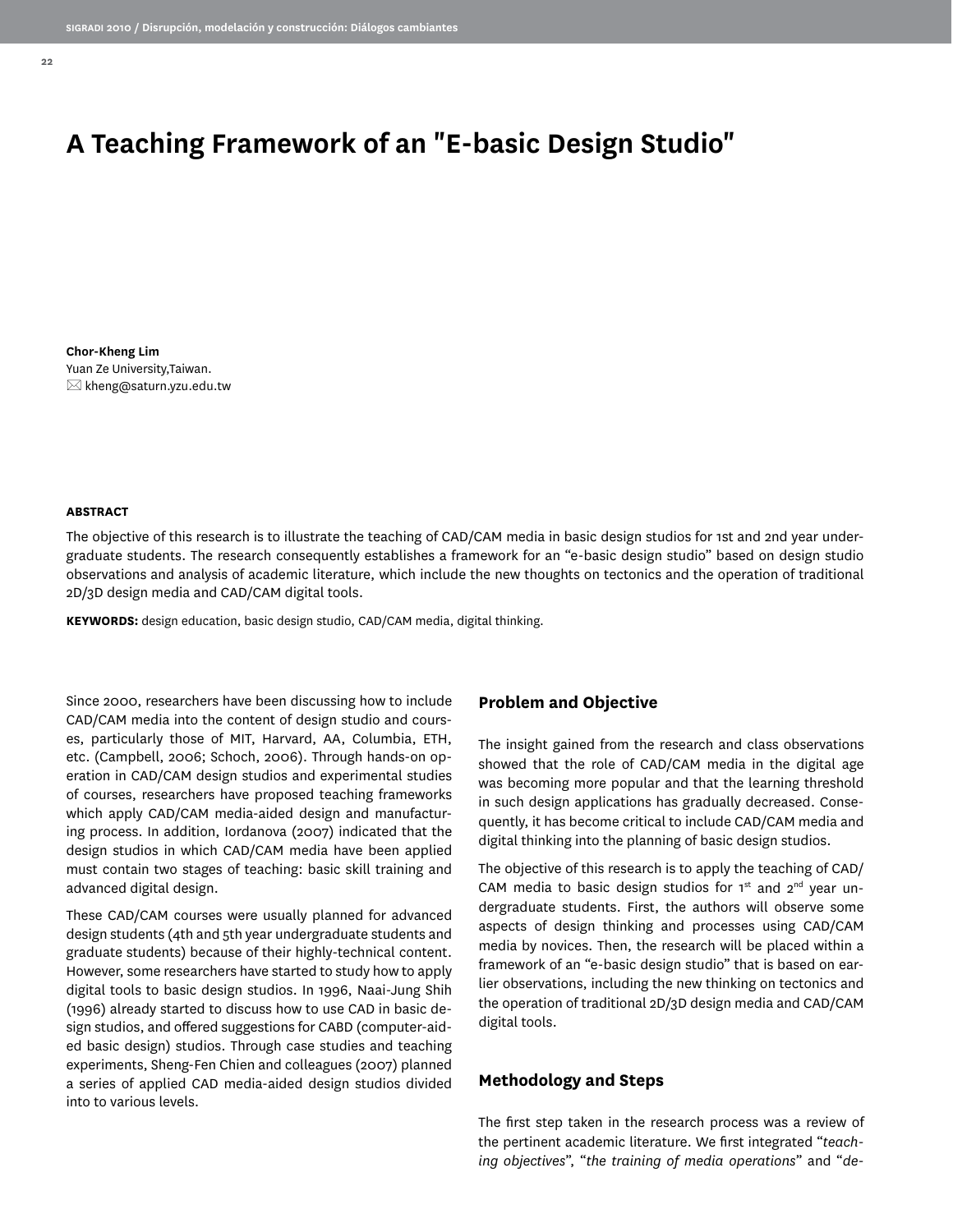# **A Teaching Framework of an "E-basic Design Studio"**

**Chor-Kheng Lim** Yuan Ze University,Taiwan.  $\boxtimes$  kheng@saturn.yzu.edu.tw

#### **ABSTRACT**

The objective of this research is to illustrate the teaching of CAD/CAM media in basic design studios for 1st and 2nd year undergraduate students. The research consequently establishes a framework for an "e-basic design studio" based on design studio observations and analysis of academic literature, which include the new thoughts on tectonics and the operation of traditional 2D/3D design media and CAD/CAM digital tools.

**KEYWORDS:** design education, basic design studio, CAD/CAM media, digital thinking.

Since 2000, researchers have been discussing how to include CAD/CAM media into the content of design studio and courses, particularly those of MIT, Harvard, AA, Columbia, ETH, etc. (Campbell, 2006; Schoch, 2006). Through hands-on operation in CAD/CAM design studios and experimental studies of courses, researchers have proposed teaching frameworks which apply CAD/CAM media-aided design and manufacturing process. In addition, Iordanova (2007) indicated that the design studios in which CAD/CAM media have been applied must contain two stages of teaching: basic skill training and advanced digital design.

These CAD/CAM courses were usually planned for advanced design students (4th and 5th year undergraduate students and graduate students) because of their highly-technical content. However, some researchers have started to study how to apply digital tools to basic design studios. In 1996, Naai-Jung Shih (1996) already started to discuss how to use CAD in basic design studios, and offered suggestions for CABD (computer-aided basic design) studios. Through case studies and teaching experiments, Sheng-Fen Chien and colleagues (2007) planned a series of applied CAD media-aided design studios divided into to various levels.

# **Problem and Objective**

The insight gained from the research and class observations showed that the role of CAD/CAM media in the digital age was becoming more popular and that the learning threshold in such design applications has gradually decreased. Consequently, it has become critical to include CAD/CAM media and digital thinking into the planning of basic design studios.

The objective of this research is to apply the teaching of CAD/ CAM media to basic design studios for  $1<sup>st</sup>$  and  $2<sup>nd</sup>$  year undergraduate students. First, the authors will observe some aspects of design thinking and processes using CAD/CAM media by novices. Then, the research will be placed within a framework of an "e-basic design studio" that is based on earlier observations, including the new thinking on tectonics and the operation of traditional 2D/3D design media and CAD/CAM digital tools.

### **Methodology and Steps**

The first step taken in the research process was a review of the pertinent academic literature. We first integrated "*teaching objectives*", "*the training of media operations*" and "*de-*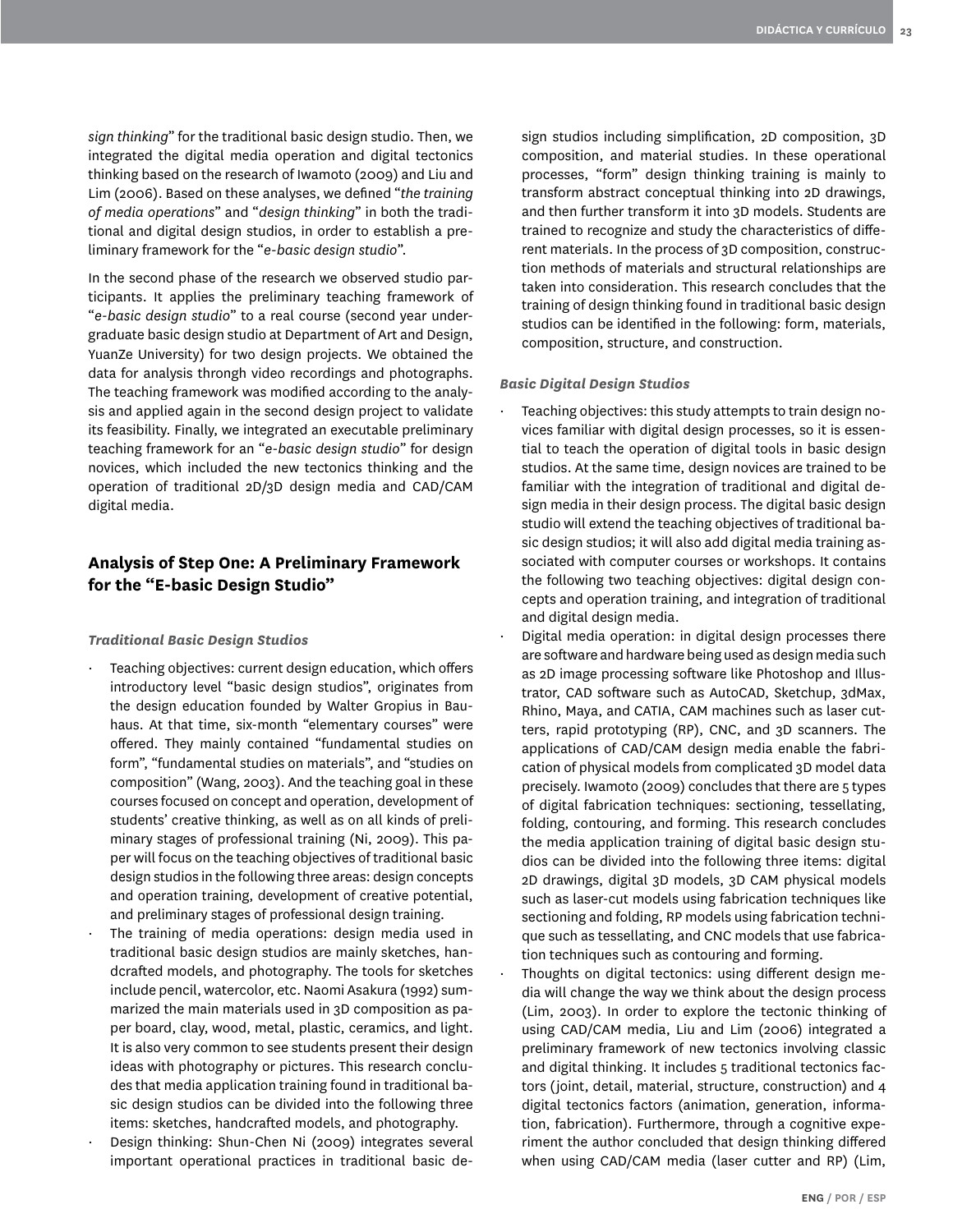*sign thinking*" for the traditional basic design studio. Then, we integrated the digital media operation and digital tectonics thinking based on the research of Iwamoto (2009) and Liu and Lim (2006). Based on these analyses, we defined "*the training of media operations*" and "*design thinking*" in both the traditional and digital design studios, in order to establish a preliminary framework for the "*e-basic design studio*".

In the second phase of the research we observed studio participants. It applies the preliminary teaching framework of "*e-basic design studio*" to a real course (second year undergraduate basic design studio at Department of Art and Design, YuanZe University) for two design projects. We obtained the data for analysis throngh video recordings and photographs. The teaching framework was modified according to the analysis and applied again in the second design project to validate its feasibility. Finally, we integrated an executable preliminary teaching framework for an "*e-basic design studio*" for design novices, which included the new tectonics thinking and the operation of traditional 2D/3D design media and CAD/CAM digital media.

# **Analysis of Step One: A Preliminary Framework for the "E-basic Design Studio"**

### *Traditional Basic Design Studios*

- Teaching objectives: current design education, which offers introductory level "basic design studios", originates from the design education founded by Walter Gropius in Bauhaus. At that time, six-month "elementary courses" were offered. They mainly contained "fundamental studies on form", "fundamental studies on materials", and "studies on composition" (Wang, 2003). And the teaching goal in these courses focused on concept and operation, development of students' creative thinking, as well as on all kinds of preliminary stages of professional training (Ni, 2009). This paper will focus on the teaching objectives of traditional basic design studios in the following three areas: design concepts and operation training, development of creative potential, and preliminary stages of professional design training.
- The training of media operations: design media used in traditional basic design studios are mainly sketches, handcrafted models, and photography. The tools for sketches include pencil, watercolor, etc. Naomi Asakura (1992) summarized the main materials used in 3D composition as paper board, clay, wood, metal, plastic, ceramics, and light. It is also very common to see students present their design ideas with photography or pictures. This research concludes that media application training found in traditional basic design studios can be divided into the following three items: sketches, handcrafted models, and photography.
- Design thinking: Shun-Chen Ni (2009) integrates several important operational practices in traditional basic de-

sign studios including simplification, 2D composition, 3D composition, and material studies. In these operational processes, "form" design thinking training is mainly to transform abstract conceptual thinking into 2D drawings, and then further transform it into 3D models. Students are trained to recognize and study the characteristics of different materials. In the process of 3D composition, construction methods of materials and structural relationships are taken into consideration. This research concludes that the training of design thinking found in traditional basic design studios can be identified in the following: form, materials, composition, structure, and construction.

### *Basic Digital Design Studios*

- Teaching objectives: this study attempts to train design novices familiar with digital design processes, so it is essential to teach the operation of digital tools in basic design studios. At the same time, design novices are trained to be familiar with the integration of traditional and digital design media in their design process. The digital basic design studio will extend the teaching objectives of traditional basic design studios; it will also add digital media training associated with computer courses or workshops. It contains the following two teaching objectives: digital design concepts and operation training, and integration of traditional and digital design media.
- Digital media operation: in digital design processes there are software and hardware being used as design media such as 2D image processing software like Photoshop and Illustrator, CAD software such as AutoCAD, Sketchup, 3dMax, Rhino, Maya, and CATIA, CAM machines such as laser cutters, rapid prototyping (RP), CNC, and 3D scanners. The applications of CAD/CAM design media enable the fabrication of physical models from complicated 3D model data precisely. Iwamoto (2009) concludes that there are 5 types of digital fabrication techniques: sectioning, tessellating, folding, contouring, and forming. This research concludes the media application training of digital basic design studios can be divided into the following three items: digital 2D drawings, digital 3D models, 3D CAM physical models such as laser-cut models using fabrication techniques like sectioning and folding, RP models using fabrication technique such as tessellating, and CNC models that use fabrication techniques such as contouring and forming.
- · Thoughts on digital tectonics: using different design media will change the way we think about the design process (Lim, 2003). In order to explore the tectonic thinking of using CAD/CAM media, Liu and Lim (2006) integrated a preliminary framework of new tectonics involving classic and digital thinking. It includes 5 traditional tectonics factors (joint, detail, material, structure, construction) and 4 digital tectonics factors (animation, generation, information, fabrication). Furthermore, through a cognitive experiment the author concluded that design thinking differed when using CAD/CAM media (laser cutter and RP) (Lim,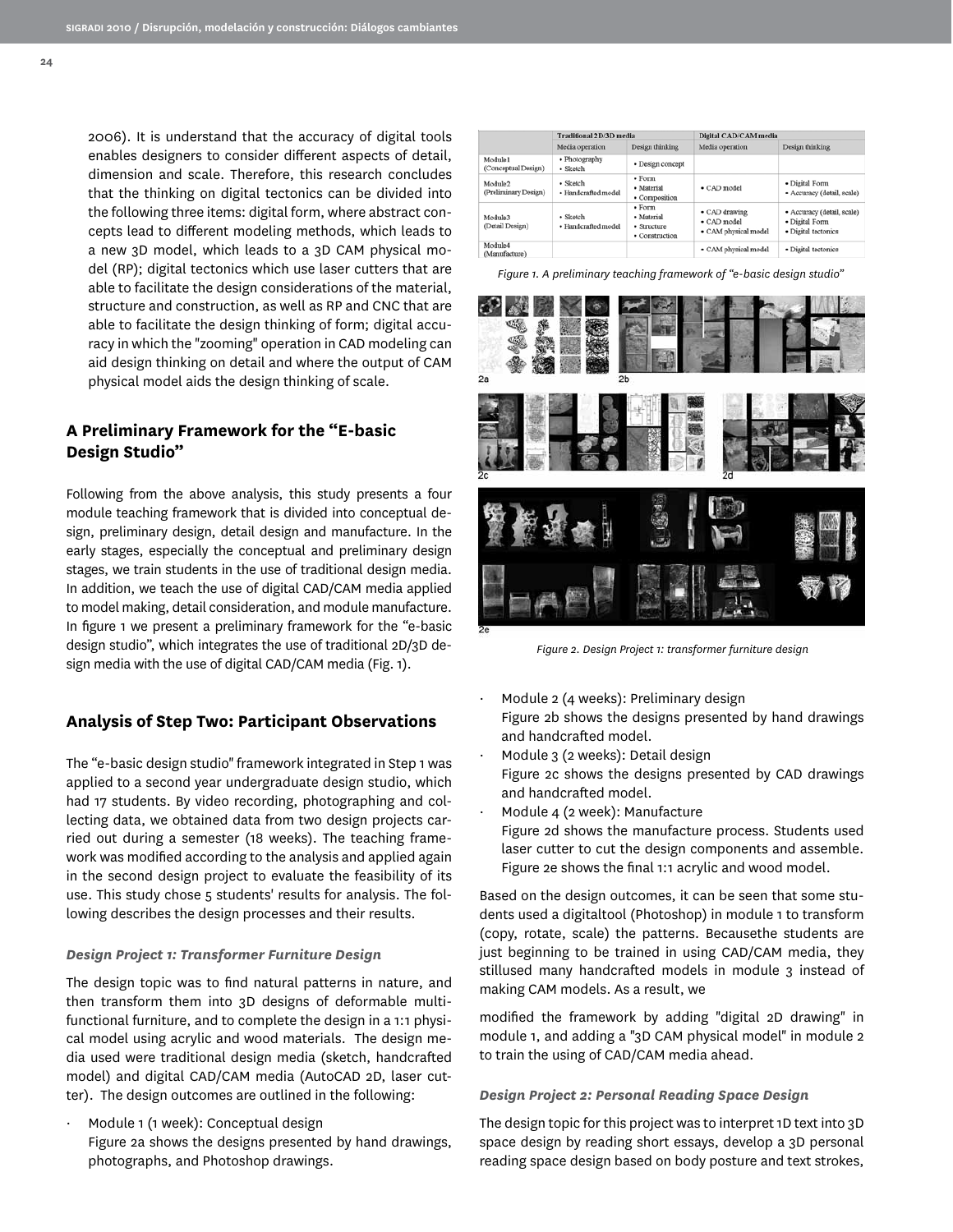2006). It is understand that the accuracy of digital tools enables designers to consider different aspects of detail, dimension and scale. Therefore, this research concludes that the thinking on digital tectonics can be divided into the following three items: digital form, where abstract concepts lead to different modeling methods, which leads to a new 3D model, which leads to a 3D CAM physical model (RP); digital tectonics which use laser cutters that are able to facilitate the design considerations of the material, structure and construction, as well as RP and CNC that are able to facilitate the design thinking of form; digital accuracy in which the "zooming" operation in CAD modeling can aid design thinking on detail and where the output of CAM physical model aids the design thinking of scale.

# **A Preliminary Framework for the "E-basic Design Studio"**

Following from the above analysis, this study presents a four module teaching framework that is divided into conceptual design, preliminary design, detail design and manufacture. In the early stages, especially the conceptual and preliminary design stages, we train students in the use of traditional design media. In addition, we teach the use of digital CAD/CAM media applied to model making, detail consideration, and module manufacture. In figure 1 we present a preliminary framework for the "e-basic design studio", which integrates the use of traditional 2D/3D design media with the use of digital CAD/CAM media (Fig. 1).

## **Analysis of Step Two: Participant Observations**

The "e-basic design studio" framework integrated in Step 1 was applied to a second year undergraduate design studio, which had 17 students. By video recording, photographing and collecting data, we obtained data from two design projects carried out during a semester (18 weeks). The teaching framework was modified according to the analysis and applied again in the second design project to evaluate the feasibility of its use. This study chose 5 students' results for analysis. The following describes the design processes and their results.

#### *Design Project 1: Transformer Furniture Design*

The design topic was to find natural patterns in nature, and then transform them into 3D designs of deformable multifunctional furniture, and to complete the design in a 1:1 physical model using acrylic and wood materials. The design media used were traditional design media (sketch, handcrafted model) and digital CAD/CAM media (AutoCAD 2D, laser cutter). The design outcomes are outlined in the following:

Module 1 (1 week): Conceptual design Figure 2a shows the designs presented by hand drawings, photographs, and Photoshop drawings.

|                                      | <b>Traditional 2D/3D media</b>  |                                                                       | Digital CAD/CAM media                                        |                                                                     |
|--------------------------------------|---------------------------------|-----------------------------------------------------------------------|--------------------------------------------------------------|---------------------------------------------------------------------|
|                                      | Media operation                 | Design thinking                                                       | Media operation                                              | Design thinking                                                     |
| Module1<br>(Conceptual Design)       | • Photography<br>• Sketch       | · Design concept                                                      |                                                              |                                                                     |
| Module2<br>(Preliminary Design)      | · Sketch<br>· Handcrafted model | $\bullet$ Form<br>• Material<br>· Composition                         | $\bullet$ CAD model                                          | · Digital Form<br>· Accuracy (detail, scale)                        |
| Module3<br>(Detail Design)           | · Sketch<br>· Handcrafted model | $\bullet$ Form<br>· Material<br>$\bullet$ Structure<br>• Construction | • CAD drawing<br>$\bullet$ CAD model<br>· CAM physical model | • Accuracy (detail, scale)<br>· Digital Form<br>· Digital tectonics |
| Module <sub>4</sub><br>(Manufacture) |                                 |                                                                       | · CAM physical model                                         | · Digital tectonics                                                 |

*Figure 1. A preliminary teaching framework of "e-basic design studio"*



*Figure 2. Design Project 1: transformer furniture design*

- Module 2 (4 weeks): Preliminary design Figure 2b shows the designs presented by hand drawings and handcrafted model.
- Module 3 (2 weeks): Detail design Figure 2c shows the designs presented by CAD drawings and handcrafted model.
- Module 4 (2 week): Manufacture Figure 2d shows the manufacture process. Students used laser cutter to cut the design components and assemble. Figure 2e shows the final 1:1 acrylic and wood model.

Based on the design outcomes, it can be seen that some students used a digitaltool (Photoshop) in module 1 to transform (copy, rotate, scale) the patterns. Becausethe students are just beginning to be trained in using CAD/CAM media, they stillused many handcrafted models in module 3 instead of making CAM models. As a result, we

modified the framework by adding "digital 2D drawing" in module 1, and adding a "3D CAM physical model" in module 2 to train the using of CAD/CAM media ahead.

### *Design Project 2: Personal Reading Space Design*

The design topic for this project was to interpret 1D text into 3D space design by reading short essays, develop a 3D personal reading space design based on body posture and text strokes,